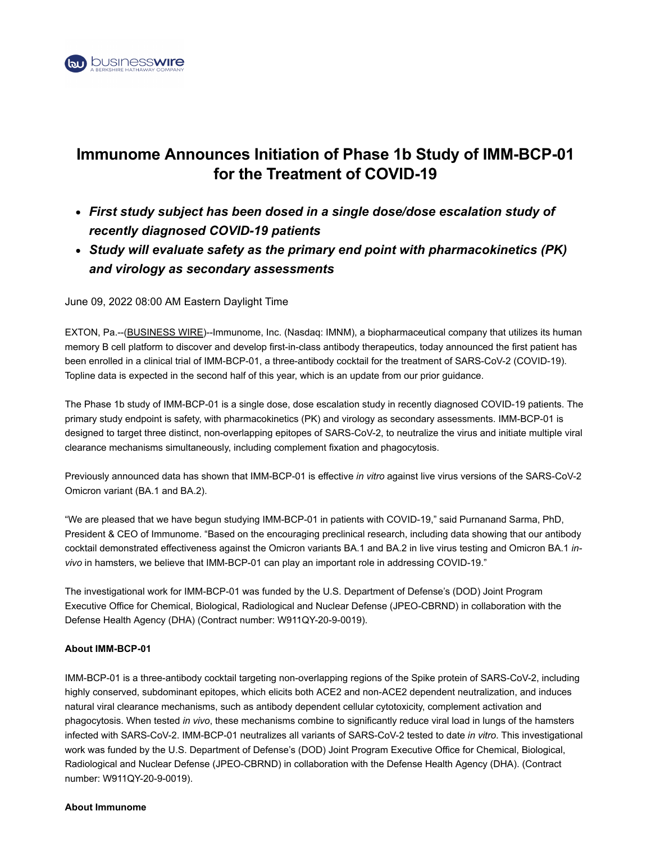

# **Immunome Announces Initiation of Phase 1b Study of IMM-BCP-01 for the Treatment of COVID-19**

- *First study subject has been dosed in a single dose/dose escalation study of recently diagnosed COVID-19 patients*
- *Study will evaluate safety as the primary end point with pharmacokinetics (PK) and virology as secondary assessments*

June 09, 2022 08:00 AM Eastern Daylight Time

EXTON, Pa.--[\(BUSINESS WIRE\)](https://www.businesswire.com/)--Immunome, Inc. (Nasdaq: IMNM), a biopharmaceutical company that utilizes its human memory B cell platform to discover and develop first-in-class antibody therapeutics, today announced the first patient has been enrolled in a clinical trial of IMM-BCP-01, a three-antibody cocktail for the treatment of SARS-CoV-2 (COVID-19). Topline data is expected in the second half of this year, which is an update from our prior guidance.

The Phase 1b study of IMM-BCP-01 is a single dose, dose escalation study in recently diagnosed COVID-19 patients. The primary study endpoint is safety, with pharmacokinetics (PK) and virology as secondary assessments. IMM-BCP-01 is designed to target three distinct, non-overlapping epitopes of SARS-CoV-2, to neutralize the virus and initiate multiple viral clearance mechanisms simultaneously, including complement fixation and phagocytosis.

Previously announced data has shown that IMM-BCP-01 is effective *in vitro* against live virus versions of the SARS-CoV-2 Omicron variant (BA.1 and BA.2).

"We are pleased that we have begun studying IMM-BCP-01 in patients with COVID-19," said Purnanand Sarma, PhD, President & CEO of Immunome. "Based on the encouraging preclinical research, including data showing that our antibody cocktail demonstrated effectiveness against the Omicron variants BA.1 and BA.2 in live virus testing and Omicron BA.1 *invivo* in hamsters, we believe that IMM-BCP-01 can play an important role in addressing COVID-19."

The investigational work for IMM-BCP-01 was funded by the U.S. Department of Defense's (DOD) Joint Program Executive Office for Chemical, Biological, Radiological and Nuclear Defense (JPEO-CBRND) in collaboration with the Defense Health Agency (DHA) (Contract number: W911QY-20-9-0019).

### **About IMM-BCP-01**

IMM-BCP-01 is a three-antibody cocktail targeting non-overlapping regions of the Spike protein of SARS-CoV-2, including highly conserved, subdominant epitopes, which elicits both ACE2 and non-ACE2 dependent neutralization, and induces natural viral clearance mechanisms, such as antibody dependent cellular cytotoxicity, complement activation and phagocytosis. When tested *in vivo*, these mechanisms combine to significantly reduce viral load in lungs of the hamsters infected with SARS-CoV-2. IMM-BCP-01 neutralizes all variants of SARS-CoV-2 tested to date *in vitro*. This investigational work was funded by the U.S. Department of Defense's (DOD) Joint Program Executive Office for Chemical, Biological, Radiological and Nuclear Defense (JPEO-CBRND) in collaboration with the Defense Health Agency (DHA). (Contract number: W911QY-20-9-0019).

#### **About Immunome**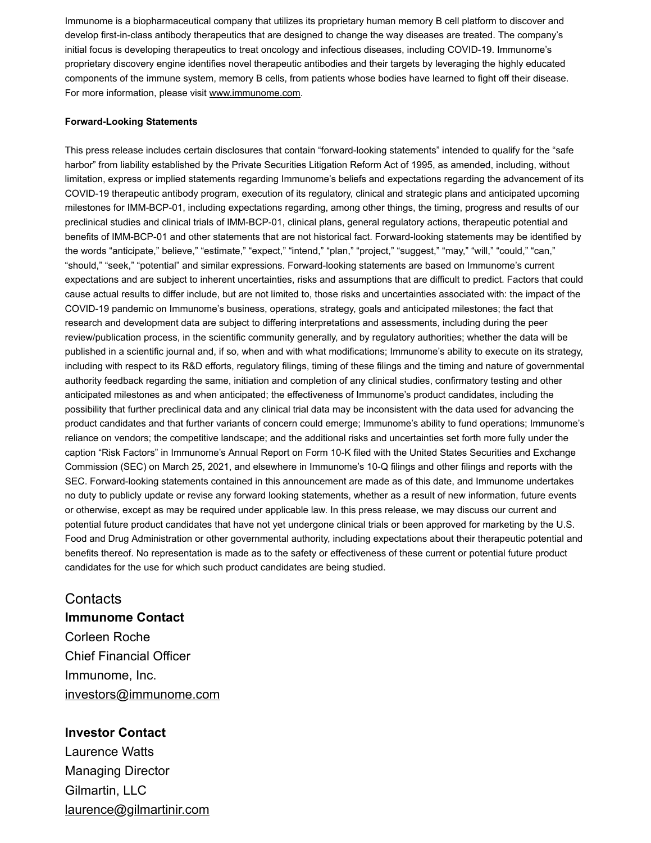Immunome is a biopharmaceutical company that utilizes its proprietary human memory B cell platform to discover and develop first-in-class antibody therapeutics that are designed to change the way diseases are treated. The company's initial focus is developing therapeutics to treat oncology and infectious diseases, including COVID-19. Immunome's proprietary discovery engine identifies novel therapeutic antibodies and their targets by leveraging the highly educated components of the immune system, memory B cells, from patients whose bodies have learned to fight off their disease. For more information, please visit [www.immunome.com](https://cts.businesswire.com/ct/CT?id=smartlink&url=http%3A%2F%2Fwww.immunome.com&esheet=52744438&newsitemid=20220609005251&lan=en-US&anchor=www.immunome.com&index=1&md5=00ba6de96ccc37d2d0eb708d33eea7e7).

#### **Forward-Looking Statements**

This press release includes certain disclosures that contain "forward-looking statements" intended to qualify for the "safe harbor" from liability established by the Private Securities Litigation Reform Act of 1995, as amended, including, without limitation, express or implied statements regarding Immunome's beliefs and expectations regarding the advancement of its COVID-19 therapeutic antibody program, execution of its regulatory, clinical and strategic plans and anticipated upcoming milestones for IMM-BCP-01, including expectations regarding, among other things, the timing, progress and results of our preclinical studies and clinical trials of IMM-BCP-01, clinical plans, general regulatory actions, therapeutic potential and benefits of IMM-BCP-01 and other statements that are not historical fact. Forward-looking statements may be identified by the words "anticipate," believe," "estimate," "expect," "intend," "plan," "project," "suggest," "may," "will," "could," "can," "should," "seek," "potential" and similar expressions. Forward-looking statements are based on Immunome's current expectations and are subject to inherent uncertainties, risks and assumptions that are difficult to predict. Factors that could cause actual results to differ include, but are not limited to, those risks and uncertainties associated with: the impact of the COVID-19 pandemic on Immunome's business, operations, strategy, goals and anticipated milestones; the fact that research and development data are subject to differing interpretations and assessments, including during the peer review/publication process, in the scientific community generally, and by regulatory authorities; whether the data will be published in a scientific journal and, if so, when and with what modifications; Immunome's ability to execute on its strategy, including with respect to its R&D efforts, regulatory filings, timing of these filings and the timing and nature of governmental authority feedback regarding the same, initiation and completion of any clinical studies, confirmatory testing and other anticipated milestones as and when anticipated; the effectiveness of Immunome's product candidates, including the possibility that further preclinical data and any clinical trial data may be inconsistent with the data used for advancing the product candidates and that further variants of concern could emerge; Immunome's ability to fund operations; Immunome's reliance on vendors; the competitive landscape; and the additional risks and uncertainties set forth more fully under the caption "Risk Factors" in Immunome's Annual Report on Form 10-K filed with the United States Securities and Exchange Commission (SEC) on March 25, 2021, and elsewhere in Immunome's 10-Q filings and other filings and reports with the SEC. Forward-looking statements contained in this announcement are made as of this date, and Immunome undertakes no duty to publicly update or revise any forward looking statements, whether as a result of new information, future events or otherwise, except as may be required under applicable law. In this press release, we may discuss our current and potential future product candidates that have not yet undergone clinical trials or been approved for marketing by the U.S. Food and Drug Administration or other governmental authority, including expectations about their therapeutic potential and benefits thereof. No representation is made as to the safety or effectiveness of these current or potential future product candidates for the use for which such product candidates are being studied.

## **Contacts Immunome Contact**  Corleen Roche Chief Financial Officer Immunome, Inc. [investors@immunome.com](mailto:investors@immunome.com)

### **Investor Contact**

Laurence Watts Managing Director Gilmartin, LLC [laurence@gilmartinir.com](mailto:laurence@gilmartinir.com)